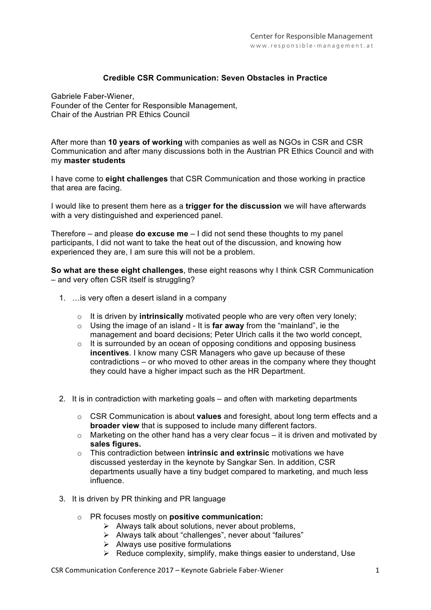## **Credible CSR Communication: Seven Obstacles in Practice**

 Founder of the Center for Responsible Management, Gabriele Faber-Wiener, Chair of the Austrian PR Ethics Council

After more than 10 years of working with companies as well as NGOs in CSR and CSR Communication and after many discussions both in the Austrian PR Ethics Council and with my **master students**

**I have come to eight challenges** that CSR Communication and those working in practice that area are facing.

Center for Responsible Management **cussion** we will have afterwards I would like to present them here as a **trigger for the discussion** we will have afterwards with a very distinguished and experienced panel.

 
 Therefore – and please **do excuse me** – I did not send these thoughts to my panel participants, I did not want to take the heat out of the discussion, and knowing how experienced they are, I am sure this will not be a problem.

**So what are these eight challenges**, these eight reasons why I think CSR Communication **- Program and Program and Program** – and very often CSR itself is struggling?

- 1. …is very often a desert island in a company
	- o It is driven by **intrinsically** motivated people who are very often very lonely;
	- o Using the image of an island It is **far away** from the "mainland", ie the management and board decisions; Peter Ulrich calls it the two world concept,
	- o It is surrounded by an ocean of opposing conditions and opposing business **incentives**. I know many CSR Managers who gave up because of these contradictions – or who moved to other areas in the company where they thought they could have a higher impact such as the HR Department.
- 2. It is in contradiction with marketing goals and often with marketing departments
	- o CSR Communication is about **values** and foresight, about long term effects and a **broader view** that is supposed to include many different factors.
	- $\circ$  Marketing on the other hand has a very clear focus it is driven and motivated by **sales figures.**
	- o This contradiction between **intrinsic and extrinsic** motivations we have discussed yesterday in the keynote by Sangkar Sen. In addition, CSR departments usually have a tiny budget compared to marketing, and much less influence.
- 3. It is driven by PR thinking and PR language
	- o PR focuses mostly on **positive communication:**
		- $\triangleright$  Always talk about solutions, never about problems,
		- $\triangleright$  Always talk about "challenges", never about "failures"
		- $\triangleright$  Always use positive formulations
		- $\triangleright$  Reduce complexity, simplify, make things easier to understand, Use

CSR Communication Conference 2017 - Keynote Gabriele Faber-Wiener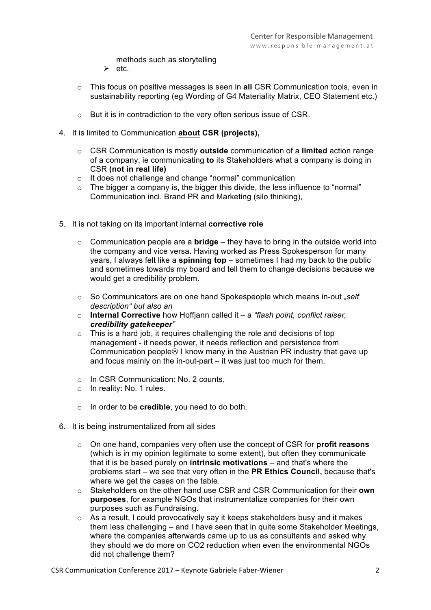methods such as storytelling

- $\triangleright$  etc.
- o This focus on positive messages is seen in **all** CSR Communication tools, even in 
 sustainability reporting (eg Wording of G4 Materiality Matrix, CEO Statement etc.)
- $\ddot{\phantom{a}}$  $\mathcal{L}$  $\circ$  But it is in contradiction to the very often serious issue of CSR.
- 4. It is limited to Communication **about CSR (projects),** Ĭ.
	- - o CSR Communication is mostly **outside** communication of a **limited** action range of a company, ie communicating **to** its Stakeholders what a company is doing in CSR **(not in real life)**
	- o and the tearmeration of the control of the communication<br>
	so the does not challenge and change "normal" communication
	- Communication incl. Brand PR and Marketing (silo thinking),  $\circ$  The bigger a company is, the bigger this divide, the less influence to "normal"
- 5. It is not taking on its important internal **corrective role**
	- o Communication people are a **bridge** they have to bring in the outside world into and sometimes towards my board and tell them to change decisions because we<br>would get a credibility problem the company and vice versa. Having worked as Press Spokesperson for many years, I always felt like a **spinning top** – sometimes I had my back to the public would get a credibility problem.
	- o So Communicators are on one hand Spokespeople which means in-out *"self description" but also an*
	- o **Internal Corrective** how Hoffjann called it a *"flash point, conflict raiser, credibility gatekeeper"*
	- o This is a hard job, it requires challenging the role and decisions of top management - it needs power, it needs reflection and persistence from Communication people $\odot$  I know many in the Austrian PR industry that gave up and focus mainly on the in-out-part – it was just too much for them.
	- o In CSR Communication: No. 2 counts.
	- o In reality: No. 1 rules.
	- o In order to be **credible**, you need to do both.
- 6. It is being instrumentalized from all sides
	- o On one hand, companies very often use the concept of CSR for **profit reasons** (which is in my opinion legitimate to some extent), but often they communicate that it is be based purely on **intrinsic motivations** – and that's where the problems start – we see that very often in the **PR Ethics Council,** because that's where we get the cases on the table.
	- o Stakeholders on the other hand use CSR and CSR Communication for their **own purposes**, for example NGOs that instrumentalize companies for their own purposes such as Fundraising.
	- o As a result, I could provocatively say it keeps stakeholders busy and it makes them less challenging – and I have seen that in quite some Stakeholder Meetings, where the companies afterwards came up to us as consultants and asked why they should we do more on CO2 reduction when even the environmental NGOs did not challenge them?